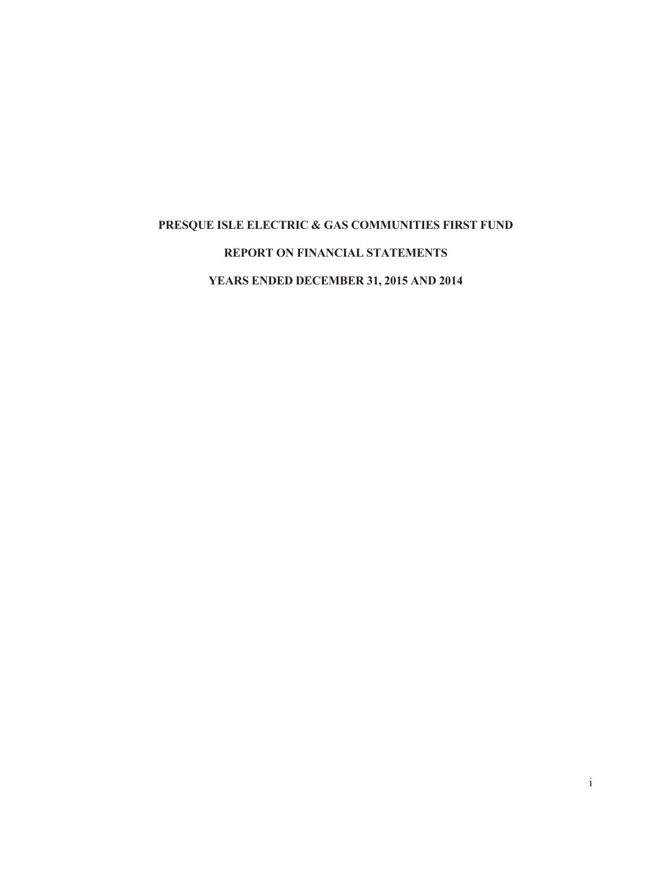# **PRESQUE ISLE ELECTRIC & GAS COMMUNITIES FIRST FUND REPORT ON FINANCIAL STATEMENTS YEARS ENDED DECEMBER 31, 2015 AND 2014**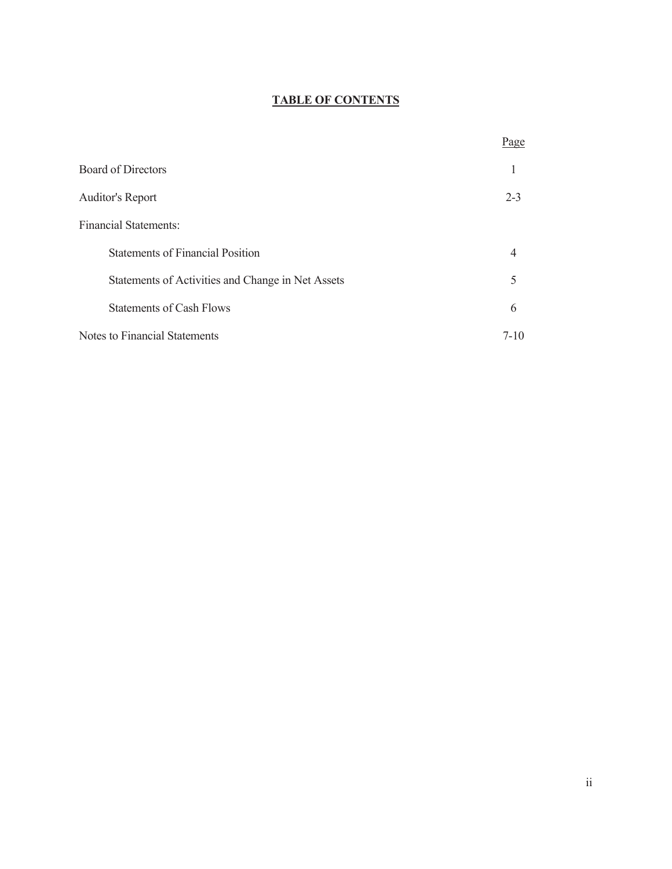# **TABLE OF CONTENTS**

|                                                   | Page     |
|---------------------------------------------------|----------|
| <b>Board of Directors</b>                         | 1        |
| <b>Auditor's Report</b>                           | $2 - 3$  |
| <b>Financial Statements:</b>                      |          |
| <b>Statements of Financial Position</b>           | 4        |
| Statements of Activities and Change in Net Assets | 5        |
| <b>Statements of Cash Flows</b>                   | 6        |
| Notes to Financial Statements                     | $7 - 10$ |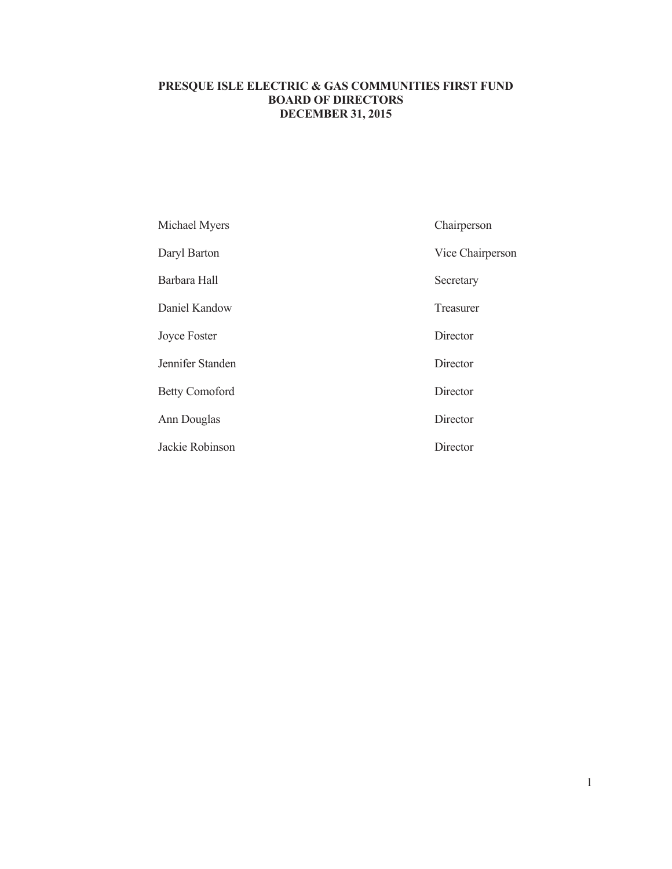# **PRESQUE ISLE ELECTRIC & GAS COMMUNITIES FIRST FUND BOARD OF DIRECTORS DECEMBER 31, 2015**

| Michael Myers         | Chairperson      |
|-----------------------|------------------|
| Daryl Barton          | Vice Chairperson |
| Barbara Hall          | Secretary        |
| Daniel Kandow         | Treasurer        |
| Joyce Foster          | Director         |
| Jennifer Standen      | Director         |
| <b>Betty Comoford</b> | Director         |
| Ann Douglas           | Director         |
| Jackie Robinson       | Director         |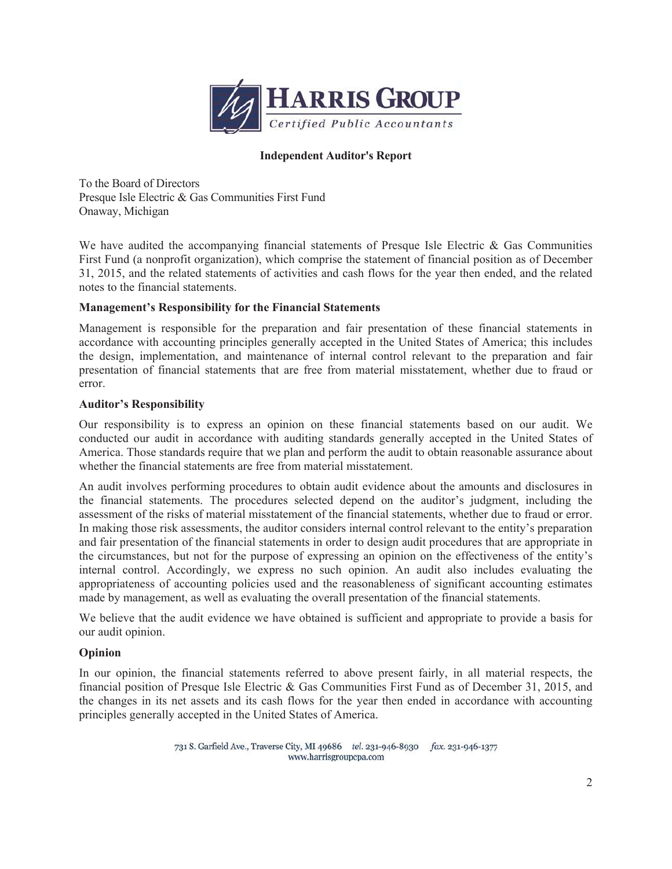

# **Independent Auditor's Report**

 To the Board of Directors Presque Isle Electric & Gas Communities First Fund Onaway, Michigan

We have audited the accompanying financial statements of Presque Isle Electric & Gas Communities First Fund (a nonprofit organization), which comprise the statement of financial position as of December 31, 2015, and the related statements of activities and cash flows for the year then ended, and the related notes to the financial statements.

## **Management's Responsibility for the Financial Statements**

Management is responsible for the preparation and fair presentation of these financial statements in accordance with accounting principles generally accepted in the United States of America; this includes the design, implementation, and maintenance of internal control relevant to the preparation and fair presentation of financial statements that are free from material misstatement, whether due to fraud or error.

## **Auditor's Responsibility**

Our responsibility is to express an opinion on these financial statements based on our audit. We conducted our audit in accordance with auditing standards generally accepted in the United States of America. Those standards require that we plan and perform the audit to obtain reasonable assurance about whether the financial statements are free from material misstatement.

An audit involves performing procedures to obtain audit evidence about the amounts and disclosures in the financial statements. The procedures selected depend on the auditor's judgment, including the assessment of the risks of material misstatement of the financial statements, whether due to fraud or error. In making those risk assessments, the auditor considers internal control relevant to the entity's preparation and fair presentation of the financial statements in order to design audit procedures that are appropriate in the circumstances, but not for the purpose of expressing an opinion on the effectiveness of the entity's internal control. Accordingly, we express no such opinion. An audit also includes evaluating the appropriateness of accounting policies used and the reasonableness of significant accounting estimates made by management, as well as evaluating the overall presentation of the financial statements.

 We believe that the audit evidence we have obtained is sufficient and appropriate to provide a basis for our audit opinion.

## **Opinion**

In our opinion, the financial statements referred to above present fairly, in all material respects, the financial position of Presque Isle Electric & Gas Communities First Fund as of December 31, 2015, and the changes in its net assets and its cash flows for the year then ended in accordance with accounting principles generally accepted in the United States of America.

> 731 S. Garfield Ave., Traverse City, MI 49686 tel. 231-946-8930 fax. 231-946-1377 www.harrisgroupcpa.com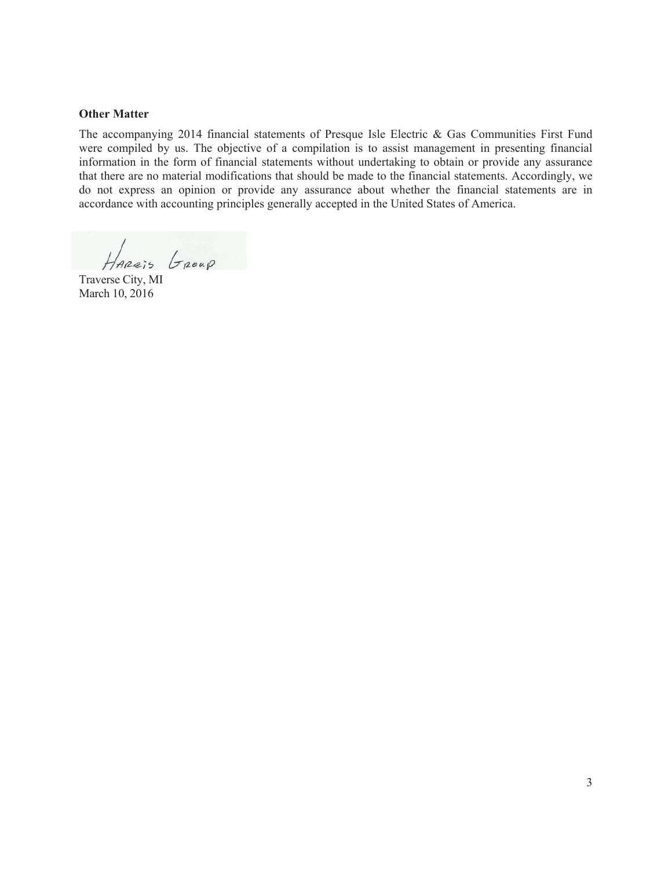#### **Other Matter**

 information in the form of financial statements without undertaking to obtain or provide any assurance that there are no material modifications that should be made to the financial statements. Accordingly, we The accompanying 2014 financial statements of Presque Isle Electric & Gas Communities First Fund were compiled by us. The objective of a compilation is to assist management in presenting financial do not express an opinion or provide any assurance about whether the financial statements are in accordance with accounting principles generally accepted in the United States of America.

HARRIS GROUP

 Traverse City, MI March 10, 2016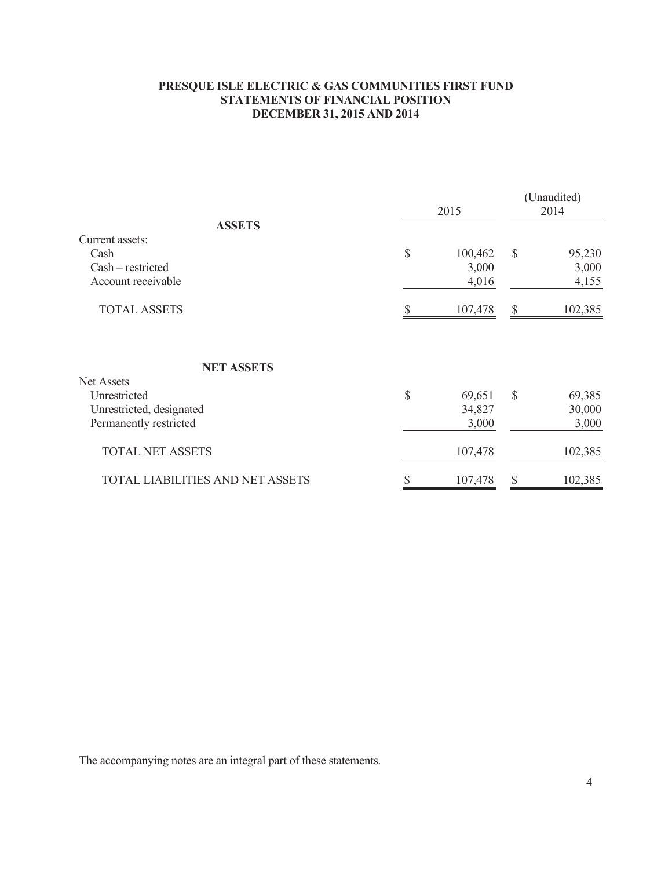# **PRESQUE ISLE ELECTRIC & GAS COMMUNITIES FIRST FUND STATEMENTS OF FINANCIAL POSITION DECEMBER 31, 2015 AND 2014**

|                                  | 2015          |         | (Unaudited)<br>2014        |         |
|----------------------------------|---------------|---------|----------------------------|---------|
| <b>ASSETS</b>                    |               |         |                            |         |
| Current assets:                  |               |         |                            |         |
| Cash                             | $\mathcal{S}$ | 100,462 | $\mathcal{S}$              | 95,230  |
| Cash - restricted                |               | 3,000   |                            | 3,000   |
| Account receivable               |               | 4,016   |                            | 4,155   |
| <b>TOTAL ASSETS</b>              |               | 107,478 | $\boldsymbol{\mathcal{S}}$ | 102,385 |
| <b>NET ASSETS</b>                |               |         |                            |         |
| <b>Net Assets</b>                |               |         |                            |         |
| Unrestricted                     | $\mathbb{S}$  | 69,651  | $\mathcal{S}$              | 69,385  |
| Unrestricted, designated         |               | 34,827  |                            | 30,000  |
| Permanently restricted           |               | 3,000   |                            | 3,000   |
| <b>TOTAL NET ASSETS</b>          |               | 107,478 |                            | 102,385 |
| TOTAL LIABILITIES AND NET ASSETS |               | 107,478 | \$                         | 102,385 |

The accompanying notes are an integral part of these statements.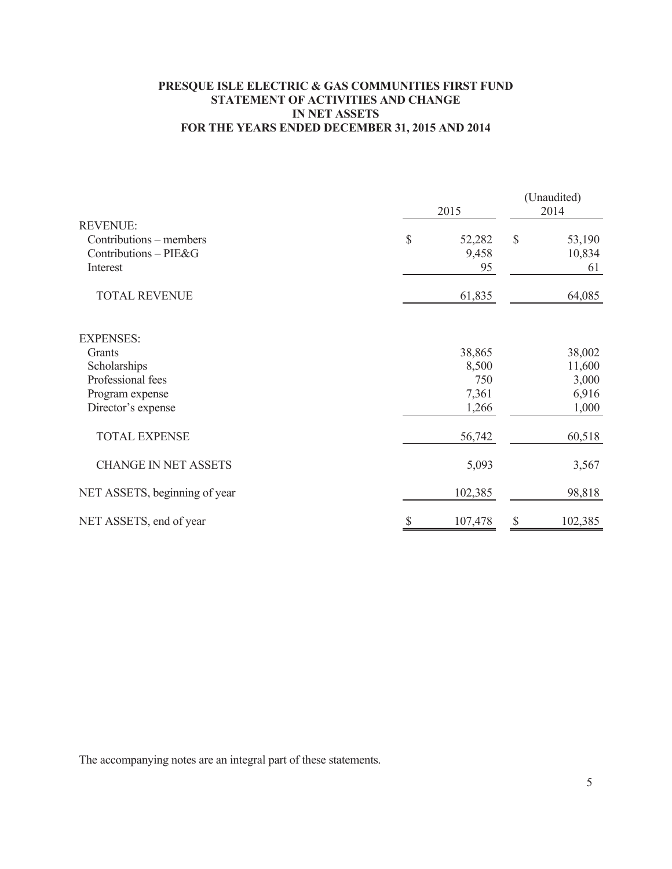# **PRESQUE ISLE ELECTRIC & GAS COMMUNITIES FIRST FUND STATEMENT OF ACTIVITIES AND CHANGE IN NET ASSETS FOR THE YEARS ENDED DECEMBER 31, 2015 AND 2014**

|                               | 2015          | (Unaudited)<br>2014     |  |
|-------------------------------|---------------|-------------------------|--|
| <b>REVENUE:</b>               |               |                         |  |
| Contributions – members       | \$<br>52,282  | $\mathcal{S}$<br>53,190 |  |
| Contributions - PIE&G         | 9,458         | 10,834                  |  |
| Interest                      | 95            | 61                      |  |
| <b>TOTAL REVENUE</b>          | 61,835        | 64,085                  |  |
| <b>EXPENSES:</b>              |               |                         |  |
| Grants                        | 38,865        | 38,002                  |  |
| Scholarships                  | 8,500         | 11,600                  |  |
| Professional fees             | 750           | 3,000                   |  |
| Program expense               | 7,361         | 6,916                   |  |
| Director's expense            | 1,266         | 1,000                   |  |
| <b>TOTAL EXPENSE</b>          | 56,742        | 60,518                  |  |
| <b>CHANGE IN NET ASSETS</b>   | 5,093         | 3,567                   |  |
| NET ASSETS, beginning of year | 102,385       | 98,818                  |  |
| NET ASSETS, end of year       | \$<br>107,478 | \$<br>102,385           |  |

The accompanying notes are an integral part of these statements.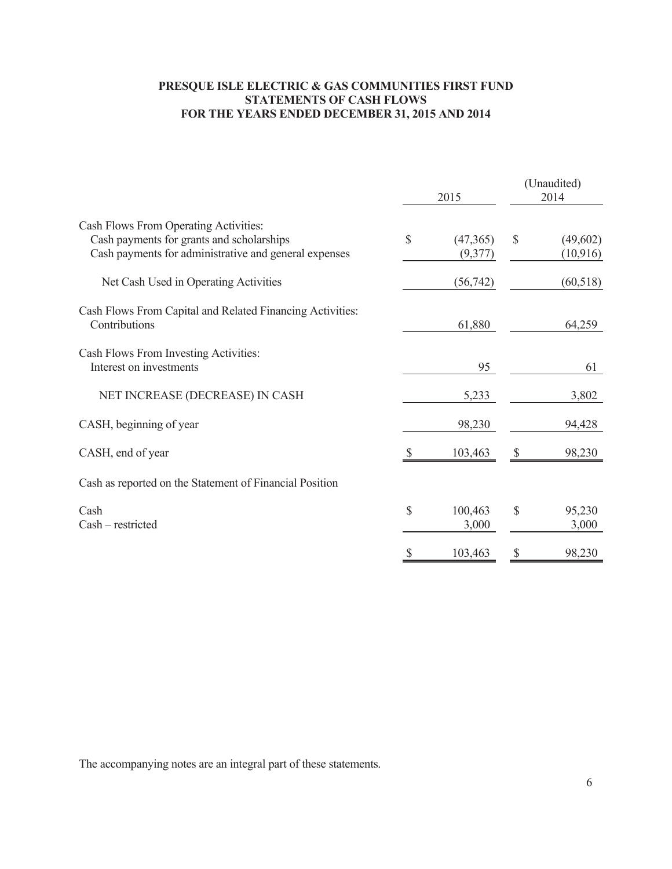# **PRESQUE ISLE ELECTRIC & GAS COMMUNITIES FIRST FUND STATEMENTS OF CASH FLOWS FOR THE YEARS ENDED DECEMBER 31, 2015 AND 2014**

|                                                                                                                                             | 2015          |                     | (Unaudited)<br>2014 |                      |
|---------------------------------------------------------------------------------------------------------------------------------------------|---------------|---------------------|---------------------|----------------------|
| Cash Flows From Operating Activities:<br>Cash payments for grants and scholarships<br>Cash payments for administrative and general expenses | $\mathcal{S}$ | (47,365)<br>(9,377) | $\mathcal{S}$       | (49,602)<br>(10,916) |
| Net Cash Used in Operating Activities                                                                                                       |               | (56, 742)           |                     | (60, 518)            |
| Cash Flows From Capital and Related Financing Activities:<br>Contributions                                                                  |               | 61,880              |                     | 64,259               |
| Cash Flows From Investing Activities:<br>Interest on investments                                                                            |               | 95                  |                     | 61                   |
| NET INCREASE (DECREASE) IN CASH                                                                                                             |               | 5,233               |                     | 3,802                |
| CASH, beginning of year                                                                                                                     |               | 98,230              |                     | 94,428               |
| CASH, end of year                                                                                                                           | \$            | 103,463             | \$                  | 98,230               |
| Cash as reported on the Statement of Financial Position                                                                                     |               |                     |                     |                      |
| Cash<br>Cash - restricted                                                                                                                   | \$            | 100,463<br>3,000    | \$                  | 95,230<br>3,000      |
|                                                                                                                                             | \$            | 103,463             | S                   | 98,230               |

The accompanying notes are an integral part of these statements.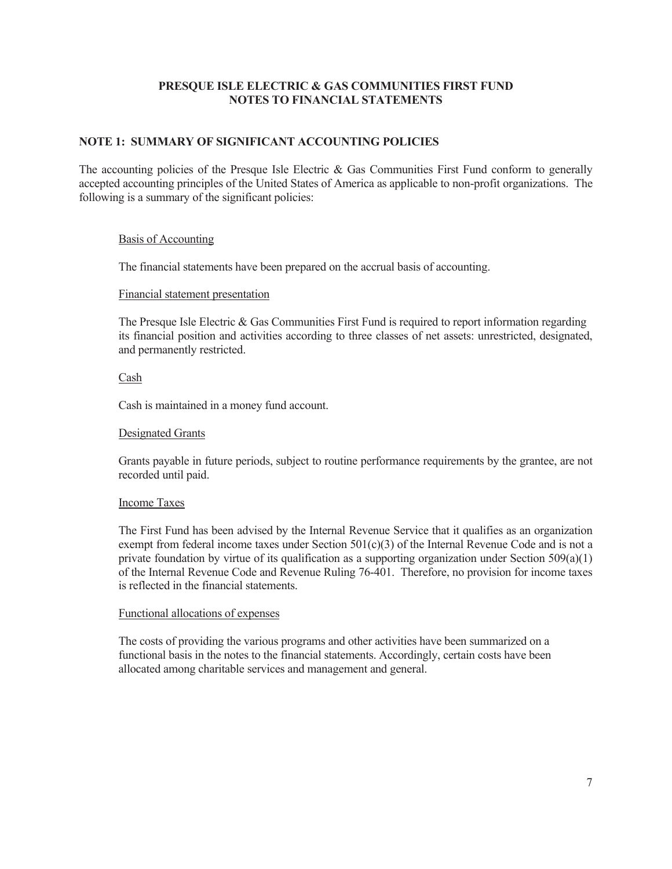# **NOTE 1: SUMMARY OF SIGNIFICANT ACCOUNTING POLICIES**

 following is a summary of the significant policies: The accounting policies of the Presque Isle Electric & Gas Communities First Fund conform to generally accepted accounting principles of the United States of America as applicable to non-profit organizations. The

#### Basis of Accounting

The financial statements have been prepared on the accrual basis of accounting.

#### Financial statement presentation

The Presque Isle Electric & Gas Communities First Fund is required to report information regarding its financial position and activities according to three classes of net assets: unrestricted, designated, and permanently restricted.

#### Cash

Cash is maintained in a money fund account.

#### Designated Grants

 Grants payable in future periods, subject to routine performance requirements by the grantee, are not recorded until paid.

#### Income Taxes

exempt from federal income taxes under Section 501(c)(3) of the Internal Revenue Code and is not a The First Fund has been advised by the Internal Revenue Service that it qualifies as an organization private foundation by virtue of its qualification as a supporting organization under Section  $509(a)(1)$ of the Internal Revenue Code and Revenue Ruling 76-401. Therefore, no provision for income taxes is reflected in the financial statements.

#### Functional allocations of expenses

The costs of providing the various programs and other activities have been summarized on a functional basis in the notes to the financial statements. Accordingly, certain costs have been allocated among charitable services and management and general.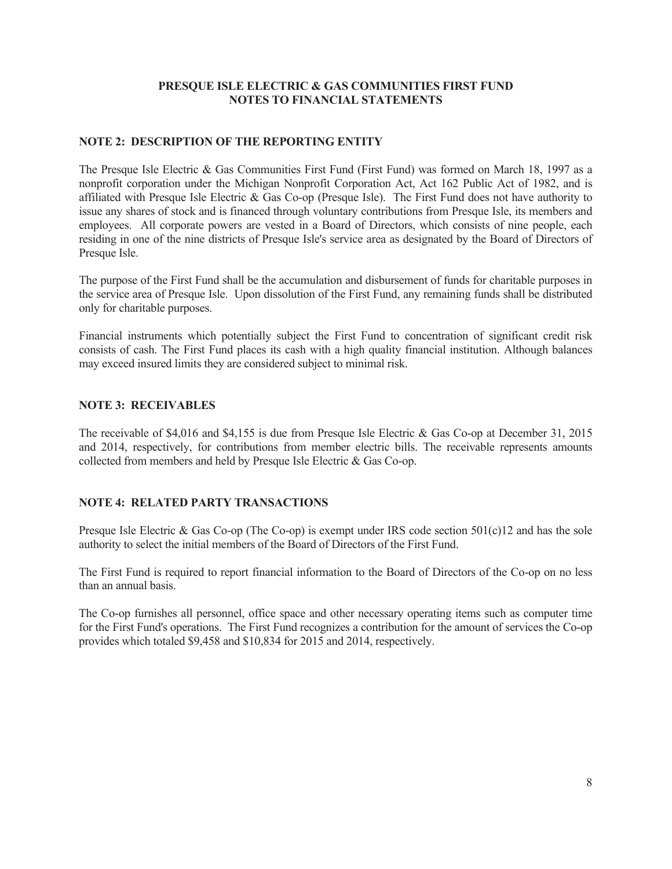# **NOTE 2: DESCRIPTION OF THE REPORTING ENTITY**

 affiliated with Presque Isle Electric & Gas Co-op (Presque Isle). The First Fund does not have authority to employees. All corporate powers are vested in a Board of Directors, which consists of nine people, each residing in one of the nine districts of Presque Isle's service area as designated by the Board of Directors of Presque Isle. The Presque Isle Electric & Gas Communities First Fund (First Fund) was formed on March 18, 1997 as a nonprofit corporation under the Michigan Nonprofit Corporation Act, Act 162 Public Act of 1982, and is issue any shares of stock and is financed through voluntary contributions from Presque Isle, its members and

 only for charitable purposes. The purpose of the First Fund shall be the accumulation and disbursement of funds for charitable purposes in the service area of Presque Isle. Upon dissolution of the First Fund, any remaining funds shall be distributed

 may exceed insured limits they are considered subject to minimal risk. Financial instruments which potentially subject the First Fund to concentration of significant credit risk consists of cash. The First Fund places its cash with a high quality financial institution. Although balances

#### **NOTE 3: RECEIVABLES**

 The receivable of \$4,016 and \$4,155 is due from Presque Isle Electric & Gas Co-op at December 31, 2015 collected from members and held by Presque Isle Electric & Gas Co-op. and 2014, respectively, for contributions from member electric bills. The receivable represents amounts

## **NOTE 4: RELATED PARTY TRANSACTIONS**

Presque Isle Electric & Gas Co-op (The Co-op) is exempt under IRS code section  $501(c)12$  and has the sole authority to select the initial members of the Board of Directors of the First Fund.

 The First Fund is required to report financial information to the Board of Directors of the Co-op on no less than an annual basis.

 for the First Fund's operations. The First Fund recognizes a contribution for the amount of services the Co-op The Co-op furnishes all personnel, office space and other necessary operating items such as computer time provides which totaled \$9,458 and \$10,834 for 2015 and 2014, respectively.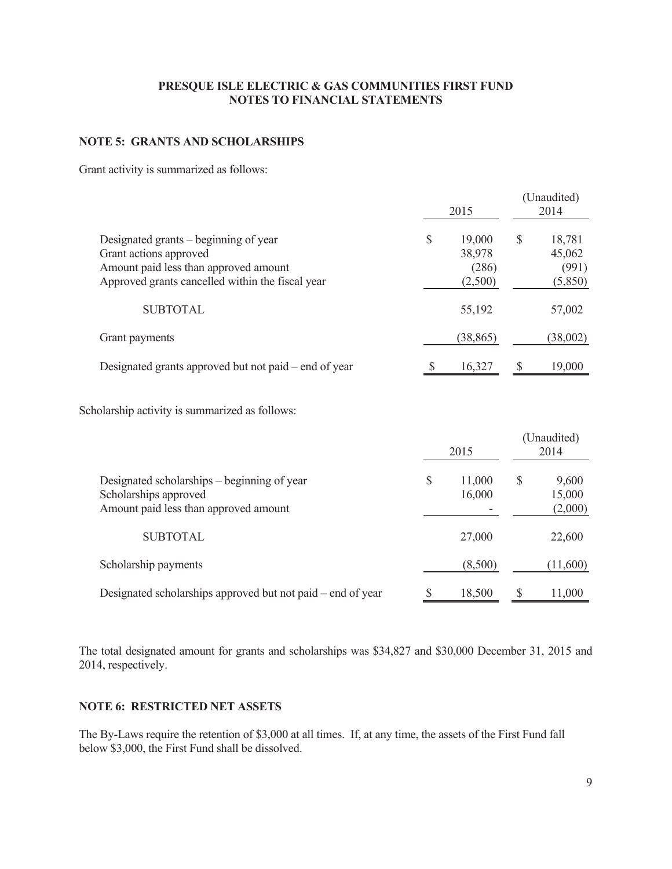# **NOTE 5: GRANTS AND SCHOLARSHIPS**

Grant activity is summarized as follows:

|                                                                                                                                                              | 2015 |                                      | (Unaudited)<br>2014 |                                      |
|--------------------------------------------------------------------------------------------------------------------------------------------------------------|------|--------------------------------------|---------------------|--------------------------------------|
| Designated grants – beginning of year<br>Grant actions approved<br>Amount paid less than approved amount<br>Approved grants cancelled within the fiscal year | \$   | 19,000<br>38,978<br>(286)<br>(2,500) | S                   | 18,781<br>45,062<br>(991)<br>(5,850) |
| <b>SUBTOTAL</b>                                                                                                                                              |      | 55,192                               |                     | 57,002                               |
| Grant payments                                                                                                                                               |      | (38, 865)                            |                     | (38,002)                             |
| Designated grants approved but not paid – end of year                                                                                                        |      | 16,327                               |                     | 19,000                               |

Scholarship activity is summarized as follows:

|                                                                                                               |    | 2015             |   | (Unaudited)<br>2014        |  |
|---------------------------------------------------------------------------------------------------------------|----|------------------|---|----------------------------|--|
| Designated scholarships – beginning of year<br>Scholarships approved<br>Amount paid less than approved amount | \$ | 11,000<br>16,000 | S | 9,600<br>15,000<br>(2,000) |  |
| <b>SUBTOTAL</b>                                                                                               |    | 27,000           |   | 22,600                     |  |
| Scholarship payments                                                                                          |    | (8,500)          |   | (11,600)                   |  |
| Designated scholarships approved but not paid – end of year                                                   |    | 18,500           | S | 11,000                     |  |

The total designated amount for grants and scholarships was \$34,827 and \$30,000 December 31, 2015 and 2014, respectively.

# **NOTE 6: RESTRICTED NET ASSETS**

The By-Laws require the retention of \$3,000 at all times. If, at any time, the assets of the First Fund fall below \$3,000, the First Fund shall be dissolved.